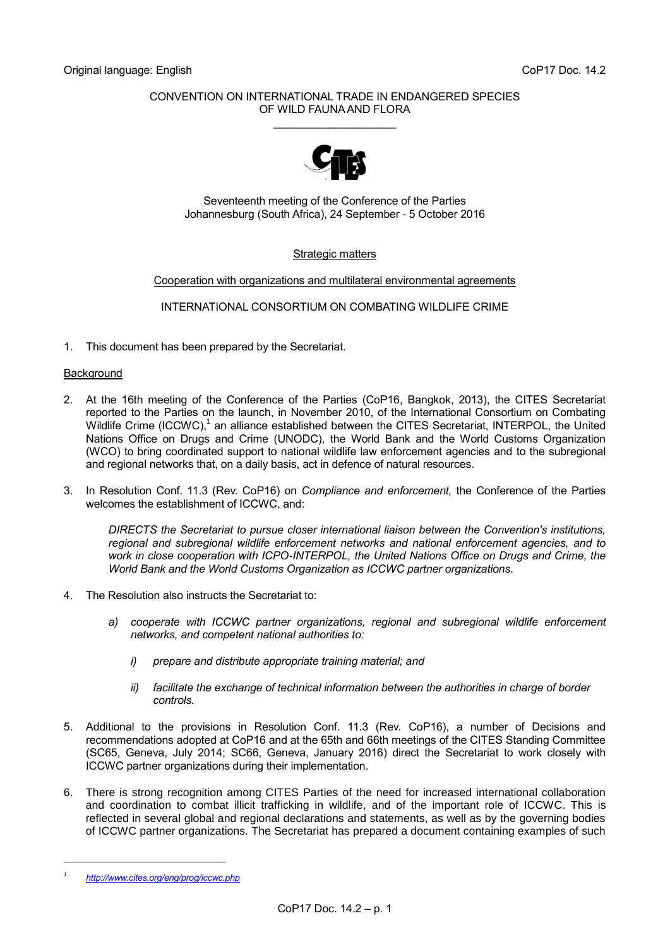### CONVENTION ON INTERNATIONAL TRADE IN ENDANGERED SPECIES OF WILD FAUNA AND FLORA

\_\_\_\_\_\_\_\_\_\_\_\_\_\_\_\_\_\_\_\_



Seventeenth meeting of the Conference of the Parties Johannesburg (South Africa), 24 September - 5 October 2016

### Strategic matters

Cooperation with organizations and multilateral environmental agreements

INTERNATIONAL CONSORTIUM ON COMBATING WILDLIFE CRIME

1. This document has been prepared by the Secretariat.

### Background

- 2. At the 16th meeting of the Conference of the Parties (CoP16, Bangkok, 2013), the CITES Secretariat reported to the Parties on the launch, in November 2010, of the International Consortium on Combating Wildlife Crime (ICCWC),<sup>1</sup> an alliance established between the CITES Secretariat, INTERPOL, the United Nations Office on Drugs and Crime (UNODC), the World Bank and the World Customs Organization (WCO) to bring coordinated support to national wildlife law enforcement agencies and to the subregional and regional networks that, on a daily basis, act in defence of natural resources.
- 3. In Resolution Conf. 11.3 (Rev. CoP16) on *Compliance and enforcement,* the Conference of the Parties welcomes the establishment of ICCWC, and:

*DIRECTS the Secretariat to pursue closer international liaison between the Convention's institutions, regional and subregional wildlife enforcement networks and national enforcement agencies, and to work in close cooperation with ICPO-INTERPOL, the United Nations Office on Drugs and Crime, the World Bank and the World Customs Organization as ICCWC partner organizations.*

- 4. The Resolution also instructs the Secretariat to:
	- *a) cooperate with ICCWC partner organizations, regional and subregional wildlife enforcement networks, and competent national authorities to:*
		- *i) prepare and distribute appropriate training material; and*
		- *ii) facilitate the exchange of technical information between the authorities in charge of border controls.*
- 5. Additional to the provisions in Resolution Conf. 11.3 (Rev. CoP16), a number of Decisions and recommendations adopted at CoP16 and at the 65th and 66th meetings of the CITES Standing Committee (SC65, Geneva, July 2014; SC66, Geneva, January 2016) direct the Secretariat to work closely with ICCWC partner organizations during their implementation.
- 6. There is strong recognition among CITES Parties of the need for increased international collaboration and coordination to combat illicit trafficking in wildlife, and of the important role of ICCWC. This is reflected in several global and regional declarations and statements, as well as by the governing bodies of ICCWC partner organizations. The Secretariat has prepared a document containing examples of such

*<sup>1</sup> <http://www.cites.org/eng/prog/iccwc.php>*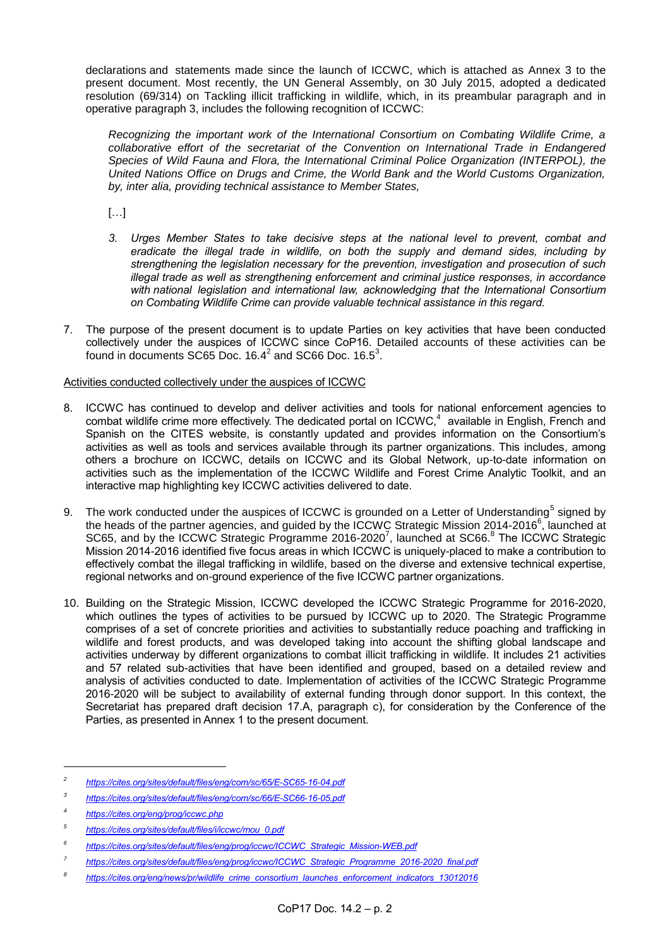declarations and statements made since the launch of ICCWC, which is attached as Annex 3 to the present document. Most recently, the UN General Assembly, on 30 July 2015, adopted a dedicated resolution (69/314) on Tackling illicit trafficking in wildlife, which, in its preambular paragraph and in operative paragraph 3, includes the following recognition of ICCWC:

*Recognizing the important work of the International Consortium on Combating Wildlife Crime, a collaborative effort of the secretariat of the Convention on International Trade in Endangered Species of Wild Fauna and Flora, the International Criminal Police Organization (INTERPOL), the United Nations Office on Drugs and Crime, the World Bank and the World Customs Organization, by, inter alia, providing technical assistance to Member States,* 

[…]

- *3. Urges Member States to take decisive steps at the national level to prevent, combat and eradicate the illegal trade in wildlife, on both the supply and demand sides, including by strengthening the legislation necessary for the prevention, investigation and prosecution of such illegal trade as well as strengthening enforcement and criminal justice responses, in accordance with national legislation and international law, acknowledging that the International Consortium on Combating Wildlife Crime can provide valuable technical assistance in this regard.*
- 7. The purpose of the present document is to update Parties on key activities that have been conducted collectively under the auspices of ICCWC since CoP16. Detailed accounts of these activities can be found in documents SC65 Doc.  $16.4^2$  and SC66 Doc.  $16.5^3$ .

### Activities conducted collectively under the auspices of ICCWC

- 8. ICCWC has continued to develop and deliver activities and tools for national enforcement agencies to combat wildlife crime more effectively. The dedicated portal on ICCWC, $4$  available in English, French and Spanish on the CITES website, is constantly updated and provides information on the Consortium's activities as well as tools and services available through its partner organizations. This includes, among others a brochure on ICCWC, details on ICCWC and its Global Network, up-to-date information on activities such as the implementation of the ICCWC Wildlife and Forest Crime Analytic Toolkit, and an interactive map highlighting key ICCWC activities delivered to date.
- 9. The work conducted under the auspices of ICCWC is grounded on a Letter of Understanding<sup>5</sup> signed by the heads of the partner agencies, and guided by the ICCWC Strategic Mission 2014-2016<sup>6</sup>, launched at SC65, and by the ICCWC Strategic Programme 2016-2020<sup>7</sup>, launched at SC66.<sup>8</sup> The ICCWC Strategic Mission 2014-2016 identified five focus areas in which ICCWC is uniquely-placed to make a contribution to effectively combat the illegal trafficking in wildlife, based on the diverse and extensive technical expertise, regional networks and on-ground experience of the five ICCWC partner organizations.
- 10. Building on the Strategic Mission, ICCWC developed the ICCWC Strategic Programme for 2016-2020, which outlines the types of activities to be pursued by ICCWC up to 2020. The Strategic Programme comprises of a set of concrete priorities and activities to substantially reduce poaching and trafficking in wildlife and forest products, and was developed taking into account the shifting global landscape and activities underway by different organizations to combat illicit trafficking in wildlife. It includes 21 activities and 57 related sub-activities that have been identified and grouped, based on a detailed review and analysis of activities conducted to date. Implementation of activities of the ICCWC Strategic Programme 2016-2020 will be subject to availability of external funding through donor support. In this context, the Secretariat has prepared draft decision 17.A, paragraph c), for consideration by the Conference of the Parties, as presented in Annex 1 to the present document.

*<sup>2</sup> <https://cites.org/sites/default/files/eng/com/sc/65/E-SC65-16-04.pdf>*

*<sup>3</sup> <https://cites.org/sites/default/files/eng/com/sc/66/E-SC66-16-05.pdf>*

*<sup>4</sup> <https://cites.org/eng/prog/iccwc.php>*

*<sup>5</sup> [https://cites.org/sites/default/files/i/iccwc/mou\\_0.pdf](https://cites.org/sites/default/files/i/iccwc/mou_0.pdf)*

*<sup>6</sup> [https://cites.org/sites/default/files/eng/prog/iccwc/ICCWC\\_Strategic\\_Mission-WEB.pdf](https://cites.org/sites/default/files/eng/prog/iccwc/ICCWC_Strategic_Mission-WEB.pdf)*

*<sup>7</sup> [https://cites.org/sites/default/files/eng/prog/iccwc/ICCWC\\_Strategic\\_Programme\\_2016-2020\\_final.pdf](https://cites.org/sites/default/files/eng/prog/iccwc/ICCWC_Strategic_Programme_2016-2020_final.pdf)*

*<sup>8</sup> [https://cites.org/eng/news/pr/wildlife\\_crime\\_consortium\\_launches\\_enforcement\\_indicators\\_13012016](https://cites.org/eng/news/pr/wildlife_crime_consortium_launches_enforcement_indicators_13012016)*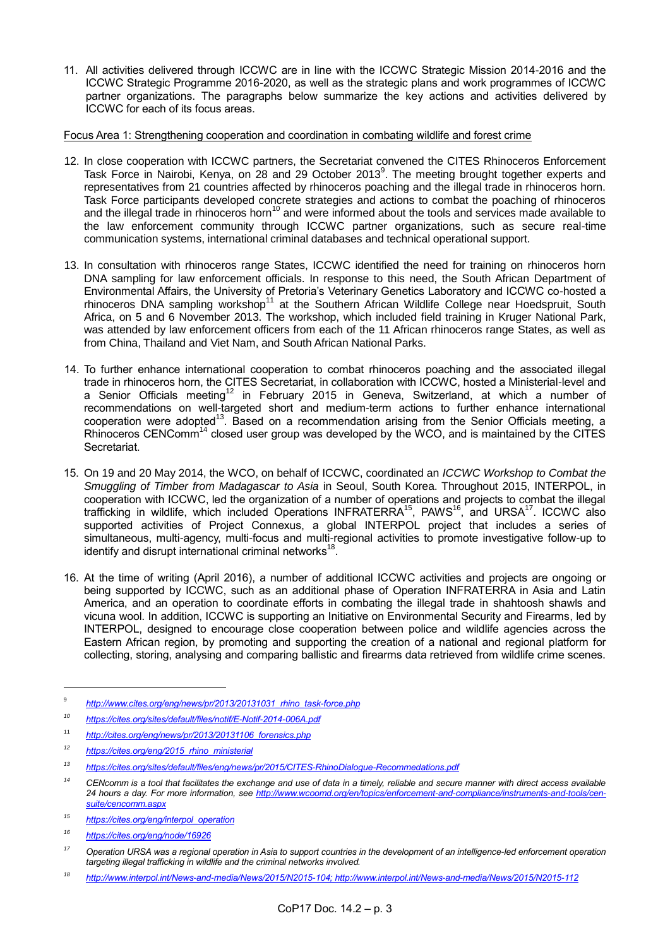11. All activities delivered through ICCWC are in line with the ICCWC Strategic Mission 2014-2016 and the ICCWC Strategic Programme 2016-2020, as well as the strategic plans and work programmes of ICCWC partner organizations. The paragraphs below summarize the key actions and activities delivered by ICCWC for each of its focus areas.

### Focus Area 1: Strengthening cooperation and coordination in combating wildlife and forest crime

- 12. In close cooperation with ICCWC partners, the Secretariat convened the CITES Rhinoceros Enforcement Task Force in Nairobi, Kenya, on 28 and 29 October 2013<sup>9</sup>. The meeting brought together experts and representatives from 21 countries affected by rhinoceros poaching and the illegal trade in rhinoceros horn. Task Force participants developed concrete strategies and actions to combat the poaching of rhinoceros and the illegal trade in rhinoceros horn<sup>10</sup> and were informed about the tools and services made available to the law enforcement community through ICCWC partner organizations, such as secure real-time communication systems, international criminal databases and technical operational support.
- 13. In consultation with rhinoceros range States, ICCWC identified the need for training on rhinoceros horn DNA sampling for law enforcement officials. In response to this need, the South African Department of Environmental Affairs, the University of Pretoria's Veterinary Genetics Laboratory and ICCWC co-hosted a rhinoceros DNA sampling workshop<sup>11</sup> at the Southern African Wildlife College near Hoedspruit, South Africa, on 5 and 6 November 2013. The workshop, which included field training in Kruger National Park, was attended by law enforcement officers from each of the 11 African rhinoceros range States, as well as from China, Thailand and Viet Nam, and South African National Parks.
- 14. To further enhance international cooperation to combat rhinoceros poaching and the associated illegal trade in rhinoceros horn, the CITES Secretariat, in collaboration with ICCWC, hosted a Ministerial-level and a Senior Officials meeting<sup>12</sup> in February 2015 in Geneva, Switzerland, at which a number of recommendations on well-targeted short and medium-term actions to further enhance international cooperation were adopted<sup>13</sup>. Based on a recommendation arising from the Senior Officials meeting, a Rhinoceros CENComm<sup>14</sup> closed user group was developed by the WCO, and is maintained by the CITES Secretariat.
- 15. On 19 and 20 May 2014, the WCO, on behalf of ICCWC, coordinated an *ICCWC Workshop to Combat the Smuggling of Timber from Madagascar to Asia* in Seoul, South Korea. Throughout 2015, INTERPOL, in cooperation with ICCWC, led the organization of a number of operations and projects to combat the illegal trafficking in wildlife, which included Operations INFRATERRA<sup>15</sup>, PAWS<sup>16</sup>, and URSA<sup>17</sup>. ICCWC also supported activities of Project Connexus, a global INTERPOL project that includes a series of simultaneous, multi-agency, multi-focus and multi-regional activities to promote investigative follow-up to identify and disrupt international criminal networks<sup>18</sup>.
- 16. At the time of writing (April 2016), a number of additional ICCWC activities and projects are ongoing or being supported by ICCWC, such as an additional phase of Operation INFRATERRA in Asia and Latin America, and an operation to coordinate efforts in combating the illegal trade in shahtoosh shawls and vicuna wool. In addition, ICCWC is supporting an Initiative on Environmental Security and Firearms, led by INTERPOL, designed to encourage close cooperation between police and wildlife agencies across the Eastern African region, by promoting and supporting the creation of a national and regional platform for collecting, storing, analysing and comparing ballistic and firearms data retrieved from wildlife crime scenes.

<sup>9</sup> *[http://www.cites.org/eng/news/pr/2013/20131031\\_rhino\\_task-force.php](http://www.cites.org/eng/news/pr/2013/20131031_rhino_task-force.php)*

*<sup>10</sup> <https://cites.org/sites/default/files/notif/E-Notif-2014-006A.pdf>*

<sup>11</sup> *[http://cites.org/eng/news/pr/2013/20131106\\_forensics.php](http://cites.org/eng/news/pr/2013/20131106_forensics.php)*

*<sup>12</sup> [https://cites.org/eng/2015\\_rhino\\_ministerial](https://cites.org/eng/2015_rhino_ministerial)*

*<sup>13</sup> <https://cites.org/sites/default/files/eng/news/pr/2015/CITES-RhinoDialogue-Recommedations.pdf>*

*<sup>14</sup> CENcomm is a tool that facilitates the exchange and use of data in a timely, reliable and secure manner with direct access available 24 hours a day. For more information, see [http://www.wcoomd.org/en/topics/enforcement-and-compliance/instruments-and-tools/cen](http://www.wcoomd.org/en/topics/enforcement-and-compliance/instruments-and-tools/cen-suite/cencomm.aspx)[suite/cencomm.aspx](http://www.wcoomd.org/en/topics/enforcement-and-compliance/instruments-and-tools/cen-suite/cencomm.aspx)*

*<sup>15</sup> [https://cites.org/eng/interpol\\_operation](https://cites.org/eng/interpol_operation)*

*<sup>16</sup> <https://cites.org/eng/node/16926>*

*<sup>17</sup> Operation URSA was a regional operation in Asia to support countries in the development of an intelligence-led enforcement operation targeting illegal trafficking in wildlife and the criminal networks involved.*

*<sup>18</sup> [http://www.interpol.int/News-and-media/News/2015/N2015-104;](http://www.interpol.int/News-and-media/News/2015/N2015-104)<http://www.interpol.int/News-and-media/News/2015/N2015-112>*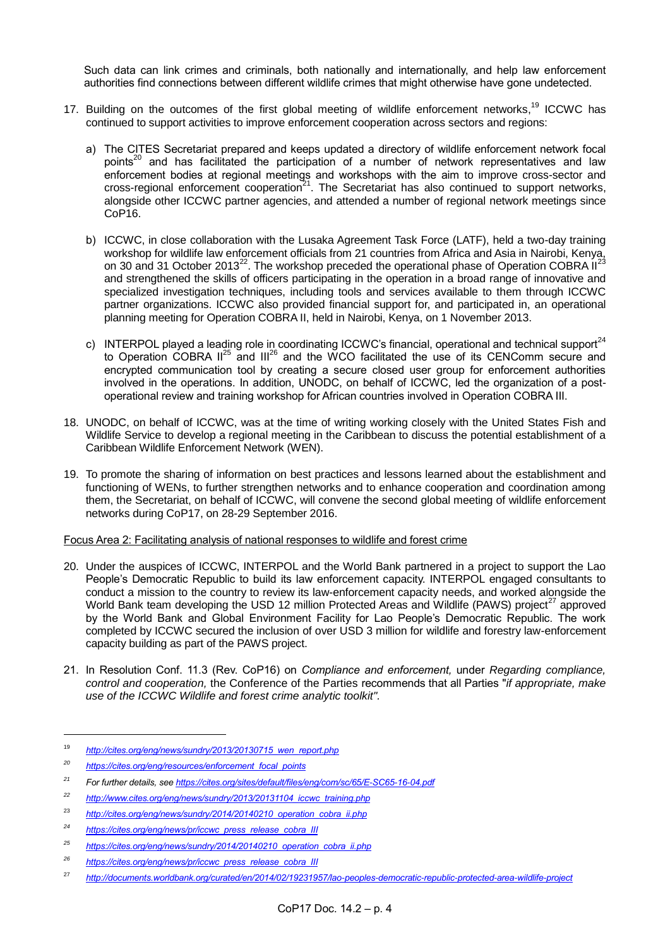Such data can link crimes and criminals, both nationally and internationally, and help law enforcement authorities find connections between different wildlife crimes that might otherwise have gone undetected.

- 17. Building on the outcomes of the first global meeting of wildlife enforcement networks, <sup>19</sup> ICCWC has continued to support activities to improve enforcement cooperation across sectors and regions:
	- a) The CITES Secretariat prepared and keeps updated a directory of wildlife enforcement network focal points<sup>20</sup> and has facilitated the participation of a number of network representatives and law enforcement bodies at regional meetings and workshops with the aim to improve cross-sector and cross-regional enforcement cooperation<sup>21</sup>. The Secretariat has also continued to support networks, alongside other ICCWC partner agencies, and attended a number of regional network meetings since CoP<sub>16</sub>.
	- b) ICCWC, in close collaboration with the Lusaka Agreement Task Force (LATF), held a two-day training workshop for wildlife law enforcement officials from 21 countries from Africa and Asia in Nairobi, Kenya, on 30 and 31 October 2013<sup>22</sup>. The workshop preceded the operational phase of Operation COBRA II<sup>2</sup> and strengthened the skills of officers participating in the operation in a broad range of innovative and specialized investigation techniques, including tools and services available to them through ICCWC partner organizations. ICCWC also provided financial support for, and participated in, an operational planning meeting for Operation COBRA II, held in Nairobi, Kenya, on 1 November 2013.
	- c) INTERPOL played a leading role in coordinating ICCWC's financial, operational and technical support<sup>24</sup> to Operation COBRA  $II^{25}$  and  $III^{26}$  and the WCO facilitated the use of its CENComm secure and encrypted communication tool by creating a secure closed user group for enforcement authorities involved in the operations. In addition, UNODC, on behalf of ICCWC, led the organization of a postoperational review and training workshop for African countries involved in Operation COBRA III.
- 18. UNODC, on behalf of ICCWC, was at the time of writing working closely with the United States Fish and Wildlife Service to develop a regional meeting in the Caribbean to discuss the potential establishment of a Caribbean Wildlife Enforcement Network (WEN).
- 19. To promote the sharing of information on best practices and lessons learned about the establishment and functioning of WENs, to further strengthen networks and to enhance cooperation and coordination among them, the Secretariat, on behalf of ICCWC, will convene the second global meeting of wildlife enforcement networks during CoP17, on 28-29 September 2016.

### Focus Area 2: Facilitating analysis of national responses to wildlife and forest crime

- 20. Under the auspices of ICCWC, INTERPOL and the World Bank partnered in a project to support the Lao People's Democratic Republic to build its law enforcement capacity. INTERPOL engaged consultants to conduct a mission to the country to review its law-enforcement capacity needs, and worked alongside the World Bank team developing the USD 12 million Protected Areas and Wildlife (PAWS) project<sup>27</sup> approved by the World Bank and Global Environment Facility for Lao People's Democratic Republic. The work completed by ICCWC secured the inclusion of over USD 3 million for wildlife and forestry law-enforcement capacity building as part of the PAWS project.
- 21. In Resolution Conf. 11.3 (Rev. CoP16) on *Compliance and enforcement,* under *Regarding compliance, control and cooperation,* the Conference of the Parties recommends that all Parties "*if appropriate, make use of the ICCWC Wildlife and forest crime analytic toolkit".*

<sup>19</sup> *[http://cites.org/eng/news/sundry/2013/20130715\\_wen\\_report.php](http://cites.org/eng/news/sundry/2013/20130715_wen_report.php)*

*<sup>20</sup> [https://cites.org/eng/resources/enforcement\\_focal\\_points](https://cites.org/eng/resources/enforcement_focal_points)*

*<sup>21</sup> For further details, se[e https://cites.org/sites/default/files/eng/com/sc/65/E-SC65-16-04.pdf](https://cites.org/sites/default/files/eng/com/sc/65/E-SC65-16-04.pdf)*

*<sup>22</sup> [http://www.cites.org/eng/news/sundry/2013/20131104\\_iccwc\\_training.php](http://www.cites.org/eng/news/sundry/2013/20131104_iccwc_training.php)*

<sup>&</sup>lt;sup>23</sup> *http://cites.org/eng/news/sundry/2014/20140210 operation cobra ii.php* 

*<sup>24</sup> [https://cites.org/eng/news/pr/iccwc\\_press\\_release\\_cobra\\_III](https://cites.org/eng/news/pr/iccwc_press_release_cobra_III)*

*<sup>25</sup> [https://cites.org/eng/news/sundry/2014/20140210\\_operation\\_cobra\\_ii.php](https://cites.org/eng/news/sundry/2014/20140210_operation_cobra_ii.php)*

*<sup>26</sup> [https://cites.org/eng/news/pr/iccwc\\_press\\_release\\_cobra\\_III](https://cites.org/eng/news/pr/iccwc_press_release_cobra_III)*

<sup>27</sup> *<http://documents.worldbank.org/curated/en/2014/02/19231957/lao-peoples-democratic-republic-protected-area-wildlife-project>*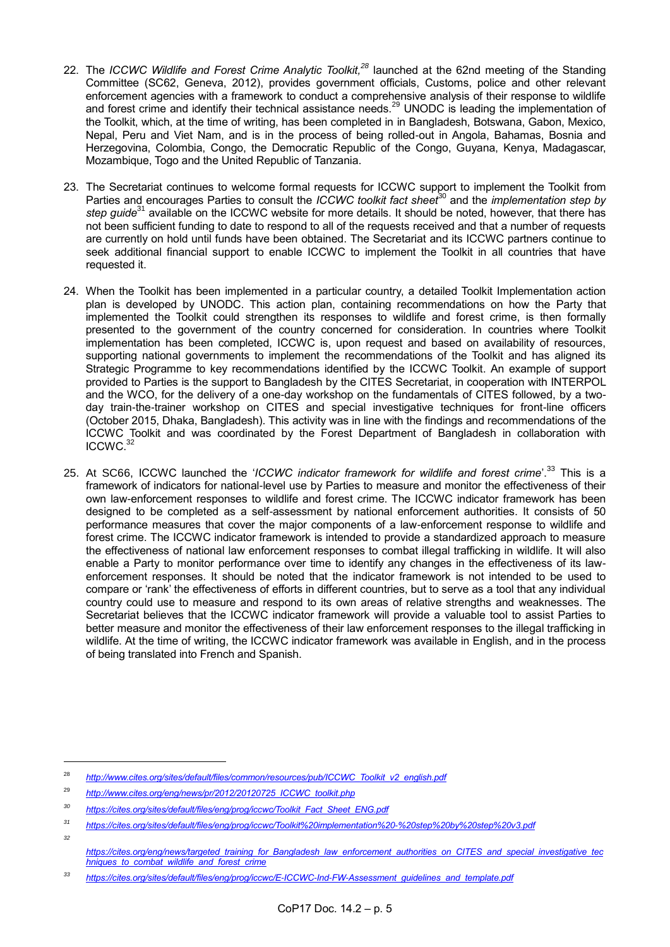- 22. The *ICCWC Wildlife and Forest Crime Analytic Toolkit,<sup>28</sup>* launched at the 62nd meeting of the Standing Committee (SC62, Geneva, 2012), provides government officials, Customs, police and other relevant enforcement agencies with a framework to conduct a comprehensive analysis of their response to wildlife and forest crime and identify their technical assistance needs.<sup>29</sup> UNODC is leading the implementation of the Toolkit, which, at the time of writing, has been completed in in Bangladesh, Botswana, Gabon, Mexico, Nepal, Peru and Viet Nam, and is in the process of being rolled-out in Angola, Bahamas, Bosnia and Herzegovina, Colombia, Congo, the Democratic Republic of the Congo, Guyana, Kenya, Madagascar, Mozambique, Togo and the United Republic of Tanzania.
- 23. The Secretariat continues to welcome formal requests for ICCWC support to implement the Toolkit from Parties and encourages Parties to consult the *ICCWC toolkit fact sheet*<sup>30</sup> and the *implementation step by step guide*<sup>31</sup> available on the ICCWC website for more details. It should be noted, however, that there has not been sufficient funding to date to respond to all of the requests received and that a number of requests are currently on hold until funds have been obtained. The Secretariat and its ICCWC partners continue to seek additional financial support to enable ICCWC to implement the Toolkit in all countries that have requested it.
- 24. When the Toolkit has been implemented in a particular country, a detailed Toolkit Implementation action plan is developed by UNODC. This action plan, containing recommendations on how the Party that implemented the Toolkit could strengthen its responses to wildlife and forest crime, is then formally presented to the government of the country concerned for consideration. In countries where Toolkit implementation has been completed, ICCWC is, upon request and based on availability of resources, supporting national governments to implement the recommendations of the Toolkit and has aligned its Strategic Programme to key recommendations identified by the ICCWC Toolkit. An example of support provided to Parties is the support to Bangladesh by the CITES Secretariat, in cooperation with INTERPOL and the WCO, for the delivery of a one-day workshop on the fundamentals of CITES followed, by a twoday train-the-trainer workshop on CITES and special investigative techniques for front-line officers (October 2015, Dhaka, Bangladesh). This activity was in line with the findings and recommendations of the ICCWC Toolkit and was coordinated by the Forest Department of Bangladesh in collaboration with ICCWC. 32
- 25. At SC66, ICCWC launched the '*ICCWC indicator framework for wildlife and forest crime*'. <sup>33</sup> This is a framework of indicators for national-level use by Parties to measure and monitor the effectiveness of their own law-enforcement responses to wildlife and forest crime. The ICCWC indicator framework has been designed to be completed as a self-assessment by national enforcement authorities. It consists of 50 performance measures that cover the major components of a law-enforcement response to wildlife and forest crime. The ICCWC indicator framework is intended to provide a standardized approach to measure the effectiveness of national law enforcement responses to combat illegal trafficking in wildlife. It will also enable a Party to monitor performance over time to identify any changes in the effectiveness of its lawenforcement responses. It should be noted that the indicator framework is not intended to be used to compare or 'rank' the effectiveness of efforts in different countries, but to serve as a tool that any individual country could use to measure and respond to its own areas of relative strengths and weaknesses. The Secretariat believes that the ICCWC indicator framework will provide a valuable tool to assist Parties to better measure and monitor the effectiveness of their law enforcement responses to the illegal trafficking in wildlife. At the time of writing, the ICCWC indicator framework was available in English, and in the process of being translated into French and Spanish.

-

<sup>28</sup> *[http://www.cites.org/sites/default/files/common/resources/pub/ICCWC\\_Toolkit\\_v2\\_english.pdf](http://www.cites.org/sites/default/files/common/resources/pub/ICCWC_Toolkit_v2_english.pdf)*

<sup>29</sup> *[http://www.cites.org/eng/news/pr/2012/20120725\\_ICCWC\\_toolkit.php](http://www.cites.org/eng/news/pr/2012/20120725_ICCWC_toolkit.php)*

*<sup>30</sup> [https://cites.org/sites/default/files/eng/prog/iccwc/Toolkit\\_Fact\\_Sheet\\_ENG.pdf](https://cites.org/sites/default/files/eng/prog/iccwc/Toolkit_Fact_Sheet_ENG.pdf)*

*<sup>31</sup> <https://cites.org/sites/default/files/eng/prog/iccwc/Toolkit%20implementation%20-%20step%20by%20step%20v3.pdf>*

*[https://cites.org/eng/news/targeted\\_training\\_for\\_Bangladesh\\_law\\_enforcement\\_authorities\\_on\\_CITES\\_and\\_special\\_investigative\\_tec](https://cites.org/eng/news/targeted_training_for_Bangladesh_law_enforcement_authorities_on_CITES_and_special_investigative_techniques_to_combat_wildlife_and_forest_crime) [hniques\\_to\\_combat\\_wildlife\\_and\\_forest\\_crime](https://cites.org/eng/news/targeted_training_for_Bangladesh_law_enforcement_authorities_on_CITES_and_special_investigative_techniques_to_combat_wildlife_and_forest_crime)*

*<sup>33</sup> [https://cites.org/sites/default/files/eng/prog/iccwc/E-ICCWC-Ind-FW-Assessment\\_guidelines\\_and\\_template.pdf](https://cites.org/sites/default/files/eng/prog/iccwc/E-ICCWC-Ind-FW-Assessment_guidelines_and_template.pdf)*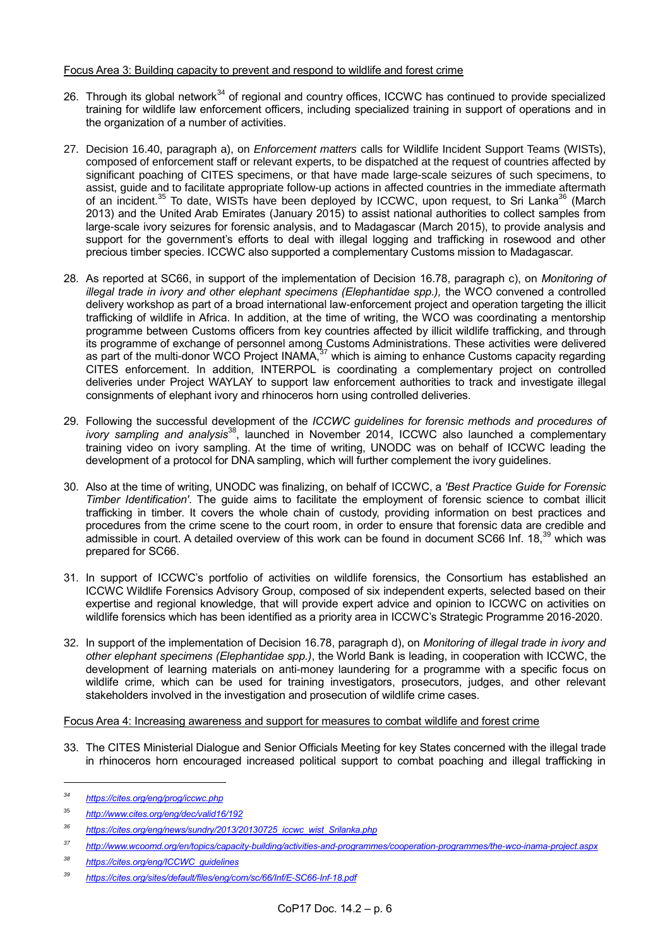### Focus Area 3: Building capacity to prevent and respond to wildlife and forest crime

- 26. Through its global network<sup>34</sup> of regional and country offices, ICCWC has continued to provide specialized training for wildlife law enforcement officers, including specialized training in support of operations and in the organization of a number of activities.
- 27. Decision 16.40, paragraph a), on *Enforcement matters* calls for Wildlife Incident Support Teams (WISTs), composed of enforcement staff or relevant experts, to be dispatched at the request of countries affected by significant poaching of CITES specimens, or that have made large-scale seizures of such specimens, to assist, guide and to facilitate appropriate follow-up actions in affected countries in the immediate aftermath of an incident.<sup>35</sup> To date, WISTs have been deployed by ICCWC, upon request, to Sri Lanka<sup>36</sup> (March 2013) and the United Arab Emirates (January 2015) to assist national authorities to collect samples from large-scale ivory seizures for forensic analysis, and to Madagascar (March 2015), to provide analysis and support for the government's efforts to deal with illegal logging and trafficking in rosewood and other precious timber species. ICCWC also supported a complementary Customs mission to Madagascar.
- 28. As reported at SC66, in support of the implementation of Decision 16.78, paragraph c), on *Monitoring of illegal trade in ivory and other elephant specimens (Elephantidae spp.), the WCO convened a controlled* delivery workshop as part of a broad international law-enforcement project and operation targeting the illicit trafficking of wildlife in Africa. In addition, at the time of writing, the WCO was coordinating a mentorship programme between Customs officers from key countries affected by illicit wildlife trafficking, and through its programme of exchange of personnel among Customs Administrations. These activities were delivered as part of the multi-donor WCO Project INAMA,<sup>37</sup> which is aiming to enhance Customs capacity regarding CITES enforcement. In addition, INTERPOL is coordinating a complementary project on controlled deliveries under Project WAYLAY to support law enforcement authorities to track and investigate illegal consignments of elephant ivory and rhinoceros horn using controlled deliveries.
- 29. Following the successful development of the *ICCWC guidelines for forensic methods and procedures of ivory sampling and analysis*<sup>38</sup>, launched in November 2014, ICCWC also launched a complementary training video on ivory sampling. At the time of writing, UNODC was on behalf of ICCWC leading the development of a protocol for DNA sampling, which will further complement the ivory guidelines.
- 30. Also at the time of writing, UNODC was finalizing, on behalf of ICCWC, a *'Best Practice Guide for Forensic Timber Identification'*. The guide aims to facilitate the employment of forensic science to combat illicit trafficking in timber. It covers the whole chain of custody, providing information on best practices and procedures from the crime scene to the court room, in order to ensure that forensic data are credible and admissible in court. A detailed overview of this work can be found in document SC66 Inf. 18,<sup>39</sup> which was prepared for SC66.
- 31. In support of ICCWC's portfolio of activities on wildlife forensics, the Consortium has established an ICCWC Wildlife Forensics Advisory Group, composed of six independent experts, selected based on their expertise and regional knowledge, that will provide expert advice and opinion to ICCWC on activities on wildlife forensics which has been identified as a priority area in ICCWC's Strategic Programme 2016-2020.
- 32. In support of the implementation of Decision 16.78, paragraph d), on *Monitoring of illegal trade in ivory and other elephant specimens (Elephantidae spp.)*, the World Bank is leading, in cooperation with ICCWC, the development of learning materials on anti-money laundering for a programme with a specific focus on wildlife crime, which can be used for training investigators, prosecutors, judges, and other relevant stakeholders involved in the investigation and prosecution of wildlife crime cases.

### Focus Area 4: Increasing awareness and support for measures to combat wildlife and forest crime

33. The CITES Ministerial Dialogue and Senior Officials Meeting for key States concerned with the illegal trade in rhinoceros horn encouraged increased political support to combat poaching and illegal trafficking in

*<sup>34</sup> <https://cites.org/eng/prog/iccwc.php>*

<sup>35</sup> *<http://www.cites.org/eng/dec/valid16/192>*

*<sup>36</sup> [https://cites.org/eng/news/sundry/2013/20130725\\_iccwc\\_wist\\_Srilanka.php](https://cites.org/eng/news/sundry/2013/20130725_iccwc_wist_Srilanka.php)*

*<sup>37</sup> <http://www.wcoomd.org/en/topics/capacity-building/activities-and-programmes/cooperation-programmes/the-wco-inama-project.aspx>*

*<sup>38</sup> [https://cites.org/eng/ICCWC\\_guidelines](https://cites.org/eng/ICCWC_guidelines)*

*<sup>39</sup> <https://cites.org/sites/default/files/eng/com/sc/66/Inf/E-SC66-Inf-18.pdf>*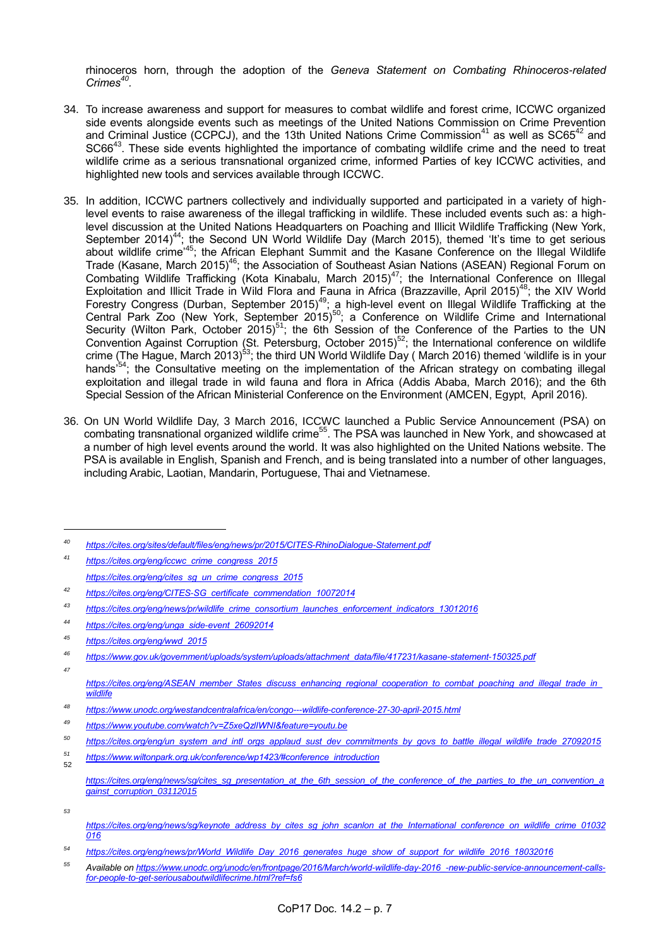rhinoceros horn, through the adoption of the *Geneva Statement on Combating Rhinoceros-related Crimes<sup>40</sup> .* 

- 34. To increase awareness and support for measures to combat wildlife and forest crime, ICCWC organized side events alongside events such as meetings of the United Nations Commission on Crime Prevention and Criminal Justice (CCPCJ), and the 13th United Nations Crime Commission<sup>41</sup> as well as  $SC65^{42}$  and SC66<sup>43</sup>. These side events highlighted the importance of combating wildlife crime and the need to treat wildlife crime as a serious transnational organized crime, informed Parties of key ICCWC activities, and highlighted new tools and services available through ICCWC.
- 35. In addition, ICCWC partners collectively and individually supported and participated in a variety of highlevel events to raise awareness of the illegal trafficking in wildlife. These included events such as: a highlevel discussion at the United Nations Headquarters on Poaching and Illicit Wildlife Trafficking (New York, September 2014)<sup>44</sup>; the Second UN World Wildlife Day (March 2015), themed 'It's time to get serious about wildlife crime<sup>,45</sup>; the African Elephant Summit and the Kasane Conference on the Illegal Wildlife Trade (Kasane, March 2015)<sup>46</sup>; the Association of Southeast Asian Nations (ASEAN) Regional Forum on Combating Wildlife Trafficking (Kota Kinabalu, March 2015)<sup>47</sup>; the International Conference on Illegal Exploitation and Illicit Trade in Wild Flora and Fauna in Africa (Brazzaville, April 2015)<sup>48</sup>; the XIV World Forestry Congress (Durban, September 2015)<sup>49</sup>; a high-level event on Illegal Wildlife Trafficking at the Central Park Zoo (New York, September 2015)<sup>50</sup>; a Conference on Wildlife Crime and International Security (Wilton Park, October 2015)<sup>51</sup>; the 6th Session of the Conference of the Parties to the UN Convention Against Corruption (St. Petersburg, October 2015)<sup>52</sup>; the International conference on wildlife crime (The Hague, March 2013)<sup>53</sup>; the third UN World Wildlife Day (March 2016) themed 'wildlife is in your hands<sup>,54</sup>; the Consultative meeting on the implementation of the African strategy on combating illegal exploitation and illegal trade in wild fauna and flora in Africa (Addis Ababa, March 2016); and the 6th Special Session of the African Ministerial Conference on the Environment (AMCEN, Egypt, April 2016).
- 36. On UN World Wildlife Day, 3 March 2016, ICCWC launched a Public Service Announcement (PSA) on combating transnational organized wildlife crime<sup>55</sup>. The PSA was launched in New York, and showcased at a number of high level events around the world. It was also highlighted on the United Nations website. The PSA is available in English, Spanish and French, and is being translated into a number of other languages, including Arabic, Laotian, Mandarin, Portuguese, Thai and Vietnamese.

*<sup>41</sup> [https://cites.org/eng/iccwc\\_crime\\_congress\\_2015](https://cites.org/eng/iccwc_crime_congress_2015) [https://cites.org/eng/cites\\_sg\\_un\\_crime\\_congress\\_2015](https://cites.org/eng/cites_sg_un_crime_congress_2015)*

- *<sup>48</sup> <https://www.unodc.org/westandcentralafrica/en/congo---wildlife-conference-27-30-april-2015.html>*
- *<sup>49</sup> <https://www.youtube.com/watch?v=Z5xeQzlIWNI&feature=youtu.be>*
- *<sup>50</sup> [https://cites.org/eng/un\\_system\\_and\\_intl\\_orgs\\_applaud\\_sust\\_dev\\_commitments\\_by\\_govs\\_to\\_battle\\_illegal\\_wildlife\\_trade\\_27092015](https://cites.org/eng/un_system_and_intl_orgs_applaud_sust_dev_commitments_by_govs_to_battle_illegal_wildlife_trade_27092015)*
- *<sup>51</sup> [https://www.wiltonpark.org.uk/conference/wp1423/#conference\\_introduction](https://www.wiltonpark.org.uk/conference/wp1423/#conference_introduction)* 52

*<sup>40</sup> <https://cites.org/sites/default/files/eng/news/pr/2015/CITES-RhinoDialogue-Statement.pdf>*

*<sup>42</sup> [https://cites.org/eng/CITES-SG\\_certificate\\_commendation\\_10072014](https://cites.org/eng/CITES-SG_certificate_commendation_10072014)*

*<sup>43</sup> [https://cites.org/eng/news/pr/wildlife\\_crime\\_consortium\\_launches\\_enforcement\\_indicators\\_13012016](https://cites.org/eng/news/pr/wildlife_crime_consortium_launches_enforcement_indicators_13012016)*

*<sup>44</sup> [https://cites.org/eng/unga\\_side-event\\_26092014](https://cites.org/eng/unga_side-event_26092014)*

*<sup>45</sup> [https://cites.org/eng/wwd\\_2015](https://cites.org/eng/wwd_2015)*

*<sup>46</sup> [https://www.gov.uk/government/uploads/system/uploads/attachment\\_data/file/417231/kasane-statement-150325.pdf](https://www.gov.uk/government/uploads/system/uploads/attachment_data/file/417231/kasane-statement-150325.pdf) 47*

*[https://cites.org/eng/ASEAN\\_member\\_States\\_discuss\\_enhancing\\_regional\\_cooperation\\_to\\_combat\\_poaching\\_and\\_illegal\\_trade\\_in\\_](https://cites.org/eng/ASEAN_member_States_discuss_enhancing_regional_cooperation_to_combat_poaching_and_illegal_trade_in_wildlife) [wildlife](https://cites.org/eng/ASEAN_member_States_discuss_enhancing_regional_cooperation_to_combat_poaching_and_illegal_trade_in_wildlife)*

*[https://cites.org/eng/news/sg/cites\\_sg\\_presentation\\_at\\_the\\_6th\\_session\\_of\\_the\\_conference\\_of\\_the\\_parties\\_to\\_the\\_un\\_convention\\_a](https://cites.org/eng/news/sg/cites_sg_presentation_at_the_6th_session_of_the_conference_of_the_parties_to_the_un_convention_against_corruption_03112015) [gainst\\_corruption\\_03112015](https://cites.org/eng/news/sg/cites_sg_presentation_at_the_6th_session_of_the_conference_of_the_parties_to_the_un_convention_against_corruption_03112015)*

*<sup>53</sup>*

*[https://cites.org/eng/news/sg/keynote\\_address\\_by\\_cites\\_sg\\_john\\_scanlon\\_at\\_the\\_International\\_conference\\_on\\_wildlife\\_crime\\_01032](https://cites.org/eng/news/sg/keynote_address_by_cites_sg_john_scanlon_at_the_International_conference_on_wildlife_crime_01032016) [016](https://cites.org/eng/news/sg/keynote_address_by_cites_sg_john_scanlon_at_the_International_conference_on_wildlife_crime_01032016)*

*<sup>54</sup> [https://cites.org/eng/news/pr/World\\_Wildlife\\_Day\\_2016\\_generates\\_huge\\_show\\_of\\_support\\_for\\_wildlife\\_2016\\_18032016](https://cites.org/eng/news/pr/World_Wildlife_Day_2016_generates_huge_show_of_support_for_wildlife_2016_18032016)*

*<sup>55</sup> Available on [https://www.unodc.org/unodc/en/frontpage/2016/March/world-wildlife-day-2016\\_-new-public-service-announcement-calls](https://www.unodc.org/unodc/en/frontpage/2016/March/world-wildlife-day-2016_-new-public-service-announcement-calls-for-people-to-get-seriousaboutwildlifecrime.html?ref=fs6)[for-people-to-get-seriousaboutwildlifecrime.html?ref=fs6](https://www.unodc.org/unodc/en/frontpage/2016/March/world-wildlife-day-2016_-new-public-service-announcement-calls-for-people-to-get-seriousaboutwildlifecrime.html?ref=fs6)*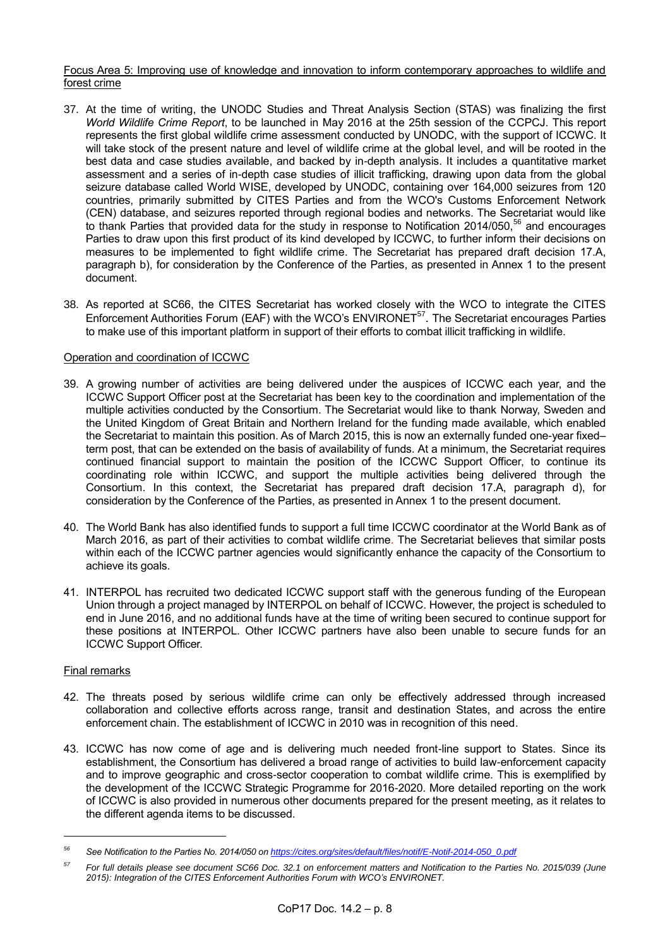### Focus Area 5: Improving use of knowledge and innovation to inform contemporary approaches to wildlife and forest crime

- 37. At the time of writing, the UNODC Studies and Threat Analysis Section (STAS) was finalizing the first *World Wildlife Crime Report*, to be launched in May 2016 at the 25th session of the CCPCJ. This report represents the first global wildlife crime assessment conducted by UNODC, with the support of ICCWC. It will take stock of the present nature and level of wildlife crime at the global level, and will be rooted in the best data and case studies available, and backed by in-depth analysis. It includes a quantitative market assessment and a series of in-depth case studies of illicit trafficking, drawing upon data from the global seizure database called World WISE, developed by UNODC, containing over 164,000 seizures from 120 countries, primarily submitted by CITES Parties and from the WCO's Customs Enforcement Network (CEN) database, and seizures reported through regional bodies and networks. The Secretariat would like to thank Parties that provided data for the study in response to Notification 2014/050,<sup>56</sup> and encourages Parties to draw upon this first product of its kind developed by ICCWC, to further inform their decisions on measures to be implemented to fight wildlife crime. The Secretariat has prepared draft decision 17.A, paragraph b), for consideration by the Conference of the Parties, as presented in Annex 1 to the present document.
- 38. As reported at SC66, the CITES Secretariat has worked closely with the WCO to integrate the CITES Enforcement Authorities Forum (EAF) with the WCO's ENVIRONET<sup>57</sup>. The Secretariat encourages Parties to make use of this important platform in support of their efforts to combat illicit trafficking in wildlife.

## Operation and coordination of ICCWC

- 39. A growing number of activities are being delivered under the auspices of ICCWC each year, and the ICCWC Support Officer post at the Secretariat has been key to the coordination and implementation of the multiple activities conducted by the Consortium. The Secretariat would like to thank Norway, Sweden and the United Kingdom of Great Britain and Northern Ireland for the funding made available, which enabled the Secretariat to maintain this position. As of March 2015, this is now an externally funded one-year fixed– term post, that can be extended on the basis of availability of funds. At a minimum, the Secretariat requires continued financial support to maintain the position of the ICCWC Support Officer, to continue its coordinating role within ICCWC, and support the multiple activities being delivered through the Consortium. In this context, the Secretariat has prepared draft decision 17.A, paragraph d), for consideration by the Conference of the Parties, as presented in Annex 1 to the present document.
- 40. The World Bank has also identified funds to support a full time ICCWC coordinator at the World Bank as of March 2016, as part of their activities to combat wildlife crime. The Secretariat believes that similar posts within each of the ICCWC partner agencies would significantly enhance the capacity of the Consortium to achieve its goals.
- 41. INTERPOL has recruited two dedicated ICCWC support staff with the generous funding of the European Union through a project managed by INTERPOL on behalf of ICCWC. However, the project is scheduled to end in June 2016, and no additional funds have at the time of writing been secured to continue support for these positions at INTERPOL. Other ICCWC partners have also been unable to secure funds for an ICCWC Support Officer.

### Final remarks

- 42. The threats posed by serious wildlife crime can only be effectively addressed through increased collaboration and collective efforts across range, transit and destination States, and across the entire enforcement chain. The establishment of ICCWC in 2010 was in recognition of this need.
- 43. ICCWC has now come of age and is delivering much needed front-line support to States. Since its establishment, the Consortium has delivered a broad range of activities to build law-enforcement capacity and to improve geographic and cross-sector cooperation to combat wildlife crime. This is exemplified by the development of the ICCWC Strategic Programme for 2016-2020. More detailed reporting on the work of ICCWC is also provided in numerous other documents prepared for the present meeting, as it relates to the different agenda items to be discussed.

*<sup>56</sup> See Notification to the Parties No. 2014/050 o[n https://cites.org/sites/default/files/notif/E-Notif-2014-050\\_0.pdf](https://cites.org/sites/default/files/notif/E-Notif-2014-050_0.pdf)*

*<sup>57</sup> For full details please see document SC66 Doc. 32.1 on enforcement matters and Notification to the Parties No. 2015/039 (June 2015): Integration of the CITES Enforcement Authorities Forum with WCO's ENVIRONET.*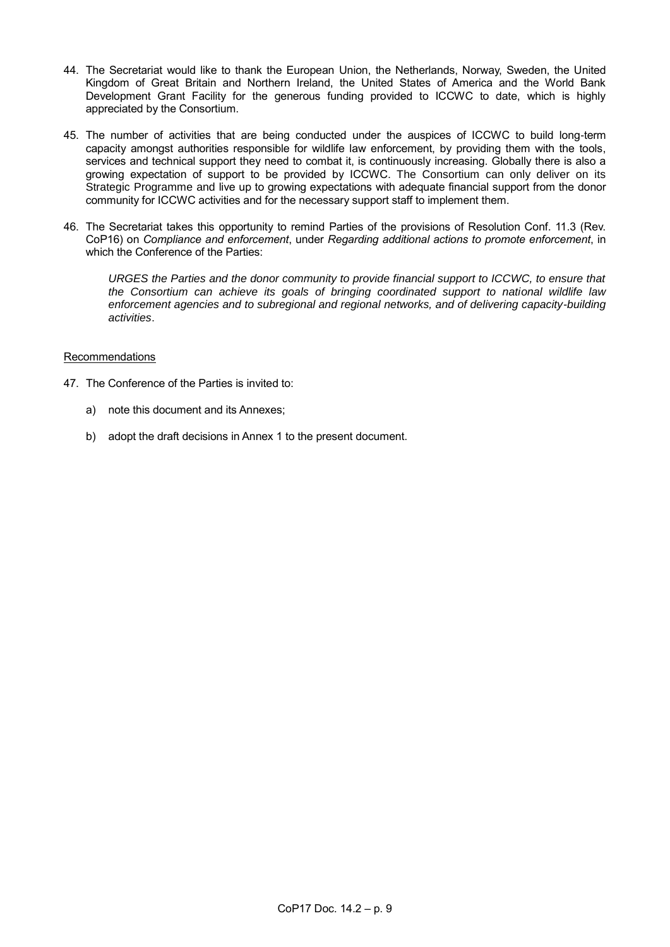- 44. The Secretariat would like to thank the European Union, the Netherlands, Norway, Sweden, the United Kingdom of Great Britain and Northern Ireland, the United States of America and the World Bank Development Grant Facility for the generous funding provided to ICCWC to date, which is highly appreciated by the Consortium.
- 45. The number of activities that are being conducted under the auspices of ICCWC to build long-term capacity amongst authorities responsible for wildlife law enforcement, by providing them with the tools, services and technical support they need to combat it, is continuously increasing. Globally there is also a growing expectation of support to be provided by ICCWC. The Consortium can only deliver on its Strategic Programme and live up to growing expectations with adequate financial support from the donor community for ICCWC activities and for the necessary support staff to implement them.
- 46. The Secretariat takes this opportunity to remind Parties of the provisions of Resolution Conf. 11.3 (Rev. CoP16) on *Compliance and enforcement*, under *Regarding additional actions to promote enforcement*, in which the Conference of the Parties:

*URGES the Parties and the donor community to provide financial support to ICCWC, to ensure that the Consortium can achieve its goals of bringing coordinated support to national wildlife law enforcement agencies and to subregional and regional networks, and of delivering capacity-building activities*.

### Recommendations

- 47. The Conference of the Parties is invited to:
	- a) note this document and its Annexes;
	- b) adopt the draft decisions in Annex 1 to the present document.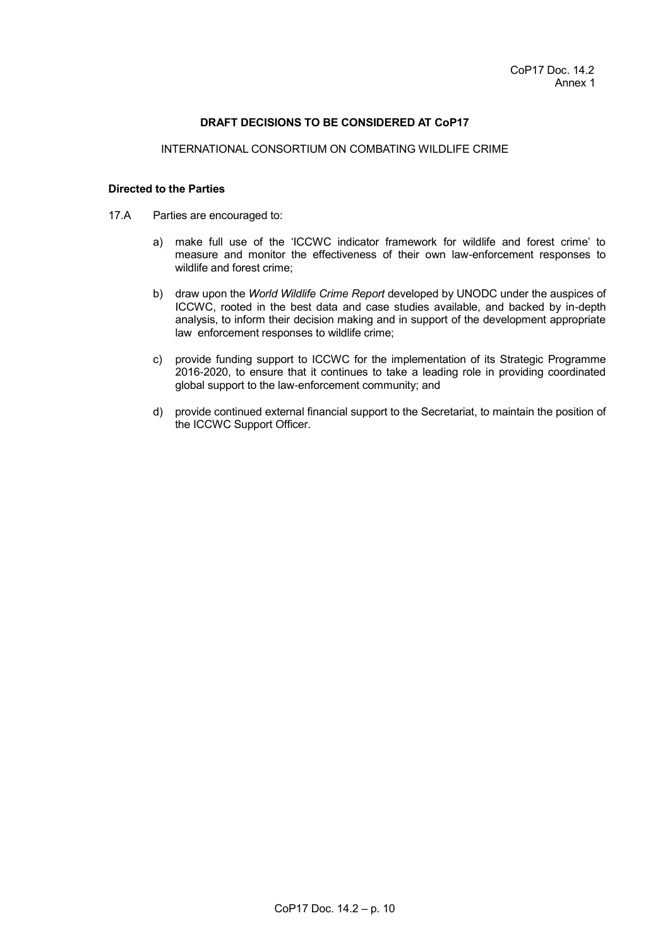### **DRAFT DECISIONS TO BE CONSIDERED AT CoP17**

#### INTERNATIONAL CONSORTIUM ON COMBATING WILDLIFE CRIME

### **Directed to the Parties**

- 17.A Parties are encouraged to:
	- a) make full use of the 'ICCWC indicator framework for wildlife and forest crime' to measure and monitor the effectiveness of their own law-enforcement responses to wildlife and forest crime;
	- b) draw upon the *World Wildlife Crime Report* developed by UNODC under the auspices of ICCWC, rooted in the best data and case studies available, and backed by in-depth analysis, to inform their decision making and in support of the development appropriate law enforcement responses to wildlife crime;
	- c) provide funding support to ICCWC for the implementation of its Strategic Programme 2016-2020, to ensure that it continues to take a leading role in providing coordinated global support to the law-enforcement community; and
	- d) provide continued external financial support to the Secretariat, to maintain the position of the ICCWC Support Officer.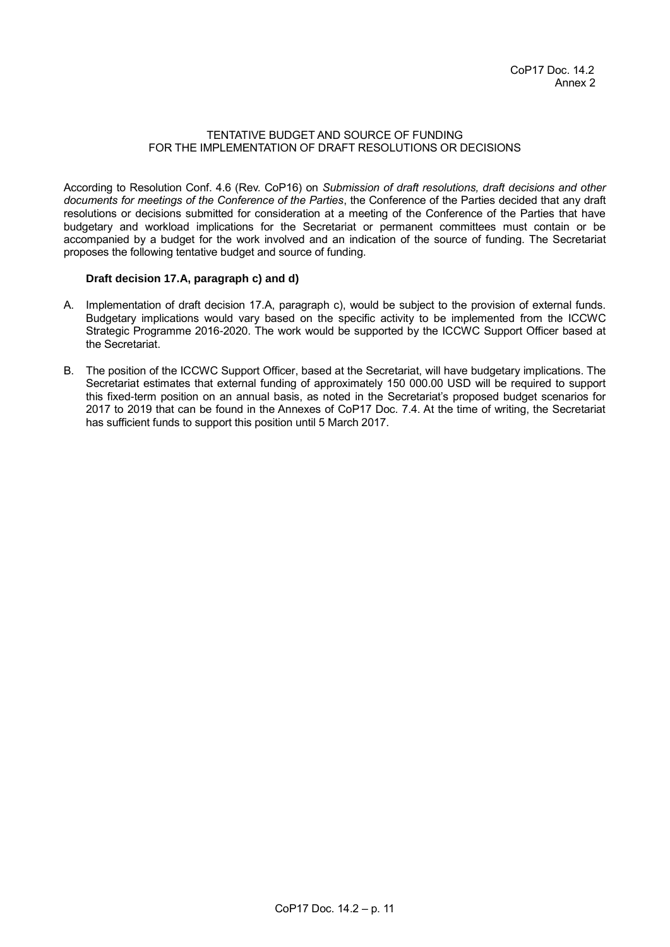#### TENTATIVE BUDGET AND SOURCE OF FUNDING FOR THE IMPLEMENTATION OF DRAFT RESOLUTIONS OR DECISIONS

According to Resolution Conf. 4.6 (Rev. CoP16) on *Submission of draft resolutions, draft decisions and other documents for meetings of the Conference of the Parties*, the Conference of the Parties decided that any draft resolutions or decisions submitted for consideration at a meeting of the Conference of the Parties that have budgetary and workload implications for the Secretariat or permanent committees must contain or be accompanied by a budget for the work involved and an indication of the source of funding. The Secretariat proposes the following tentative budget and source of funding.

### **Draft decision 17.A, paragraph c) and d)**

- A. Implementation of draft decision 17.A, paragraph c), would be subject to the provision of external funds. Budgetary implications would vary based on the specific activity to be implemented from the ICCWC Strategic Programme 2016-2020. The work would be supported by the ICCWC Support Officer based at the Secretariat.
- B. The position of the ICCWC Support Officer, based at the Secretariat, will have budgetary implications. The Secretariat estimates that external funding of approximately 150 000.00 USD will be required to support this fixed-term position on an annual basis, as noted in the Secretariat's proposed budget scenarios for 2017 to 2019 that can be found in the Annexes of CoP17 Doc. 7.4. At the time of writing, the Secretariat has sufficient funds to support this position until 5 March 2017.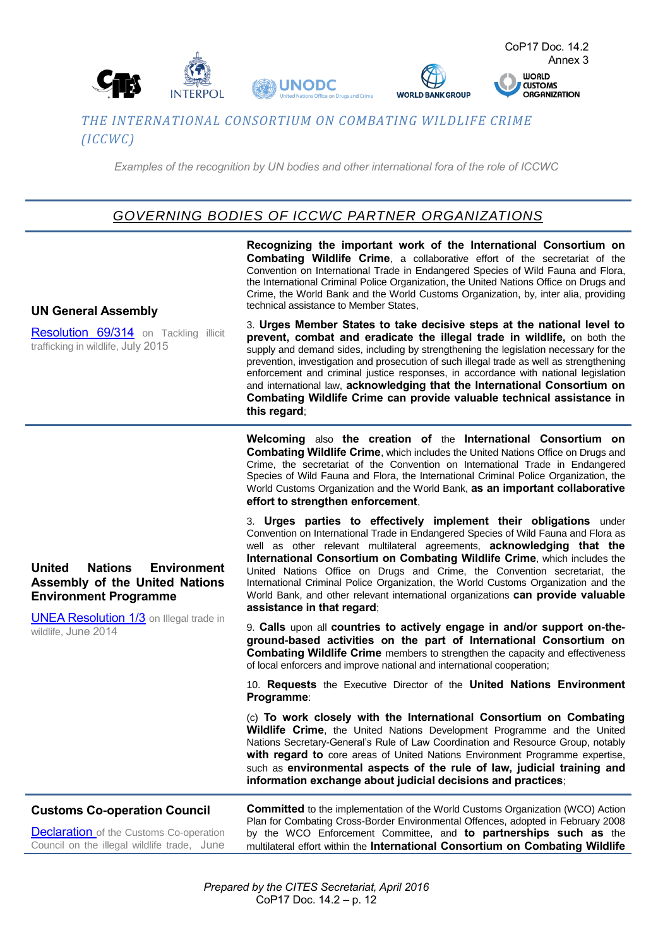

## *THE INTERNATIONAL CONSORTIUM ON COMBATING WILDLIFE CRIME (ICCWC)*

*Examples of the recognition by UN bodies and other international fora of the role of ICCWC*

# *GOVERNING BODIES OF ICCWC PARTNER ORGANIZATIONS*

**UN General Assembly**  [Resolution 69/314](https://cites.org/sites/default/files/eng/news/pr/2015/UNGA_res_illicit_trade_wildlife.pdf) on Tackling illicit trafficking in wildlife, July 2015 **Recognizing the important work of the International Consortium on Combating Wildlife Crime**, a collaborative effort of the secretariat of the Convention on International Trade in Endangered Species of Wild Fauna and Flora, the International Criminal Police Organization, the United Nations Office on Drugs and Crime, the World Bank and the World Customs Organization, by, inter alia, providing technical assistance to Member States, 3. **Urges Member States to take decisive steps at the national level to prevent, combat and eradicate the illegal trade in wildlife,** on both the supply and demand sides, including by strengthening the legislation necessary for the prevention, investigation and prosecution of such illegal trade as well as strengthening enforcement and criminal justice responses, in accordance with national legislation and international law, **acknowledging that the International Consortium on Combating Wildlife Crime can provide valuable technical assistance in this regard**; **United Nations Environment Assembly of the United Nations Environment Programme [UNEA Resolution 1/3](https://www.google.ch/url?sa=t&rct=j&q=&esrc=s&source=web&cd=1&ved=0ahUKEwjkiu3u9ujMAhWkYJoKHUVrAM4QFggdMAA&url=http%3A%2F%2Fwww.unep.org%2Funea1%2Fdownload.asp%3FID%3D5171&usg=AFQjCNHKQZuV2pxJHsH4CvqbfXawle927g&sig2=C0rB2gUhewtCtv3m0VH3vw&cad=rja)** on Illegal trade in wildlife, June 2014 **Welcoming** also **the creation of** the **International Consortium on Combating Wildlife Crime**, which includes the United Nations Office on Drugs and Crime, the secretariat of the Convention on International Trade in Endangered Species of Wild Fauna and Flora, the International Criminal Police Organization, the World Customs Organization and the World Bank, **as an important collaborative effort to strengthen enforcement**, 3. **Urges parties to effectively implement their obligations** under Convention on International Trade in Endangered Species of Wild Fauna and Flora as well as other relevant multilateral agreements, **acknowledging that the International Consortium on Combating Wildlife Crime**, which includes the United Nations Office on Drugs and Crime, the Convention secretariat, the International Criminal Police Organization, the World Customs Organization and the World Bank, and other relevant international organizations **can provide valuable assistance in that regard**; 9. **Calls** upon all **countries to actively engage in and/or support on-theground-based activities on the part of International Consortium on Combating Wildlife Crime** members to strengthen the capacity and effectiveness of local enforcers and improve national and international cooperation; 10. **Requests** the Executive Director of the **United Nations Environment Programme**: (c) **To work closely with the International Consortium on Combating Wildlife Crime**, the United Nations Development Programme and the United Nations Secretary-General's Rule of Law Coordination and Resource Group, notably **with regard to** core areas of United Nations Environment Programme expertise, such as **environmental aspects of the rule of law, judicial training and information exchange about judicial decisions and practices**; **Customs Co-operation Council [Declaration](http://www.wcoomd.org/en/about-us/legal-instruments/~/media/BC96FE063BF848AD83E3ADB56B0A79BE.ashx)** of the Customs Co-operation Council on the illegal wildlife trade, June **Committed** to the implementation of the World Customs Organization (WCO) Action Plan for Combating Cross-Border Environmental Offences, adopted in February 2008 by the WCO Enforcement Committee, and **to partnerships such as** the multilateral effort within the **International Consortium on Combating Wildlife**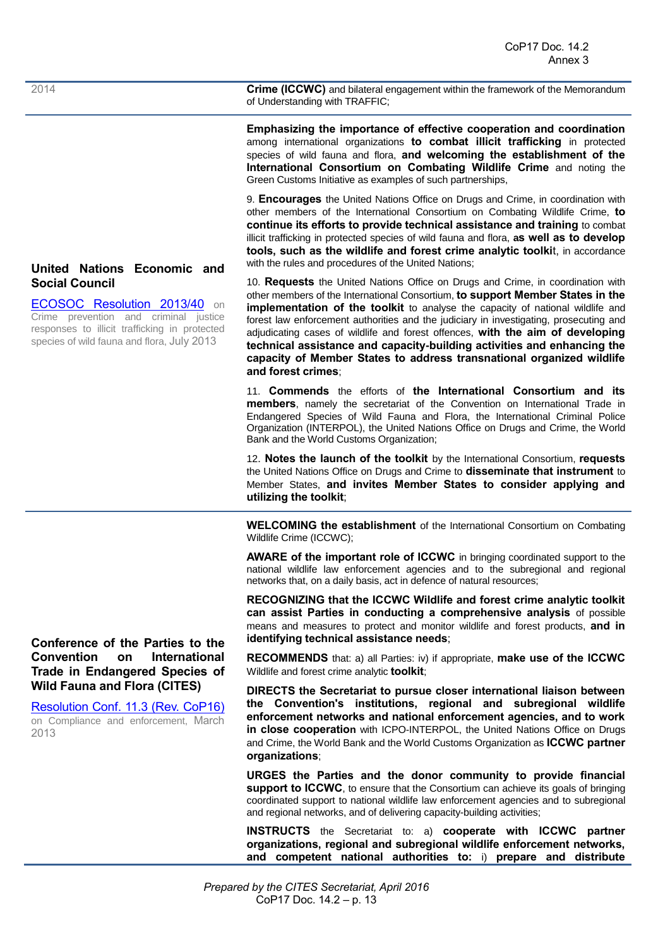2014 **Crime (ICCWC)** and bilateral engagement within the framework of the Memorandum of Understanding with TRAFFIC;

> **Emphasizing the importance of effective cooperation and coordination**  among international organizations **to combat illicit trafficking** in protected species of wild fauna and flora, **and welcoming the establishment of the International Consortium on Combating Wildlife Crime** and noting the Green Customs Initiative as examples of such partnerships,

> 9. **Encourages** the United Nations Office on Drugs and Crime, in coordination with other members of the International Consortium on Combating Wildlife Crime, **to continue its efforts to provide technical assistance and training** to combat illicit trafficking in protected species of wild fauna and flora, **as well as to develop tools, such as the wildlife and forest crime analytic toolki**t, in accordance with the rules and procedures of the United Nations;

> 10. **Requests** the United Nations Office on Drugs and Crime, in coordination with other members of the International Consortium, **to support Member States in the implementation of the toolkit** to analyse the capacity of national wildlife and forest law enforcement authorities and the judiciary in investigating, prosecuting and adjudicating cases of wildlife and forest offences, **with the aim of developing technical assistance and capacity-building activities and enhancing the capacity of Member States to address transnational organized wildlife and forest crimes**;

> 11. **Commends** the efforts of **the International Consortium and its members**, namely the secretariat of the Convention on International Trade in Endangered Species of Wild Fauna and Flora, the International Criminal Police Organization (INTERPOL), the United Nations Office on Drugs and Crime, the World Bank and the World Customs Organization;

> 12. **Notes the launch of the toolkit** by the International Consortium, **requests** the United Nations Office on Drugs and Crime to **disseminate that instrument** to Member States, **and invites Member States to consider applying and utilizing the toolkit**;

> **WELCOMING the establishment** of the International Consortium on Combating Wildlife Crime (ICCWC);

> **AWARE of the important role of ICCWC** in bringing coordinated support to the national wildlife law enforcement agencies and to the subregional and regional networks that, on a daily basis, act in defence of natural resources;

> **RECOGNIZING that the ICCWC Wildlife and forest crime analytic toolkit can assist Parties in conducting a comprehensive analysis** of possible means and measures to protect and monitor wildlife and forest products, **and in identifying technical assistance needs**;

> **RECOMMENDS** that: a) all Parties: iv) if appropriate, **make use of the ICCWC** Wildlife and forest crime analytic **toolkit**;

> **DIRECTS the Secretariat to pursue closer international liaison between the Convention's institutions, regional and subregional wildlife enforcement networks and national enforcement agencies, and to work in close cooperation** with ICPO-INTERPOL, the United Nations Office on Drugs and Crime, the World Bank and the World Customs Organization as **ICCWC partner organizations**;

> **URGES the Parties and the donor community to provide financial**  support to ICCWC, to ensure that the Consortium can achieve its goals of bringing coordinated support to national wildlife law enforcement agencies and to subregional and regional networks, and of delivering capacity-building activities;

> **INSTRUCTS** the Secretariat to: a) **cooperate with ICCWC partner organizations, regional and subregional wildlife enforcement networks, and competent national authorities to:** i) **prepare and distribute**

## **United Nations Economic and Social Council**

[ECOSOC Resolution 2013/40](https://www.unodc.org/documents/commissions/CCPCJ/Crime_Resolutions/2010-2019/2013/ECOSOC/Resolution_2013-40.pdf) on Crime prevention and criminal justice responses to illicit trafficking in protected species of wild fauna and flora, July 2013

**Conference of the Parties to the Convention on International Trade in Endangered Species of Wild Fauna and Flora (CITES)** 

[Resolution Conf. 11.3 \(Rev. CoP16\)](https://www.cites.org/eng/res/11/E-Res-11-03R16.pdf) on Compliance and enforcement, March 2013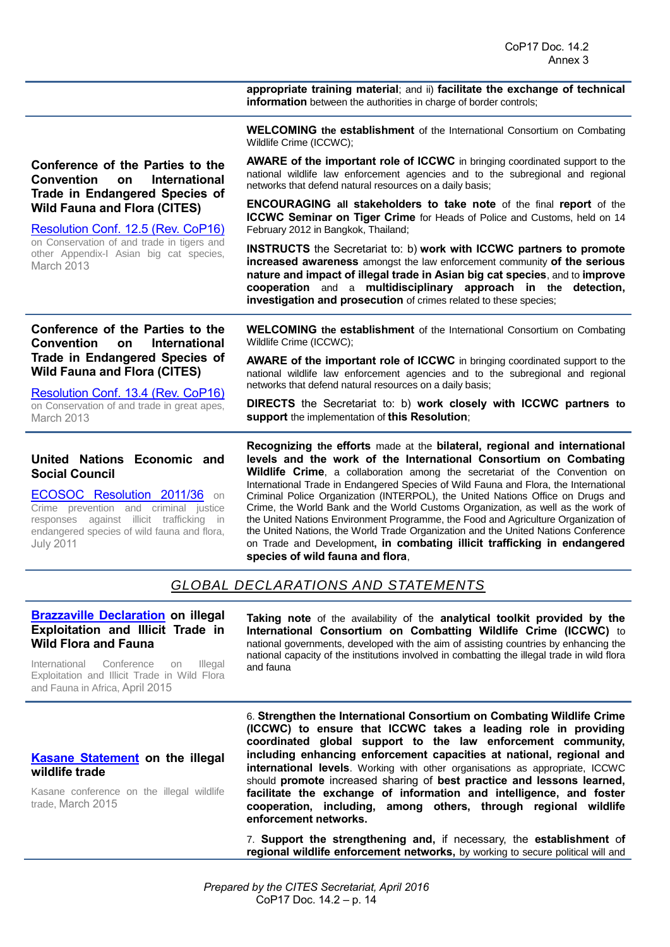**appropriate training material**; and ii) **facilitate the exchange of technical information** between the authorities in charge of border controls;

**WELCOMING the establishment** of the International Consortium on Combating Wildlife Crime (ICCWC);

**Conference of the Parties to the Convention on International Trade in Endangered Species of Wild Fauna and Flora (CITES)** 

[Resolution Conf. 12.5 \(Rev. CoP16\)](https://cites.org/eng/res/12/12-05R16.php) on Conservation of and trade in tigers and other Appendix-I Asian big cat species, March 2013

**Conference of the Parties to the Convention on International Trade in Endangered Species of Wild Fauna and Flora (CITES)** 

[Resolution Conf. 13.4 \(Rev. CoP16\)](https://cites.org/eng/res/13/13-04R16.php) on Conservation of and trade in great apes, March 2013

### **United Nations Economic and Social Council**

[ECOSOC Resolution 2011/36](http://www.unodc.org/documents/Wildlife/ECOSOC_resolution_2011-36.pdf) on Crime prevention and criminal justice responses against illicit trafficking in endangered species of wild fauna and flora, July 2011

**AWARE of the important role of ICCWC** in bringing coordinated support to the national wildlife law enforcement agencies and to the subregional and regional networks that defend natural resources on a daily basis;

**ENCOURAGING all stakeholders to take note** of the final **report** of the **ICCWC Seminar on Tiger Crime** for Heads of Police and Customs, held on 14 February 2012 in Bangkok, Thailand;

**INSTRUCTS** the Secretariat to: b) **work with ICCWC partners to promote increased awareness** amongst the law enforcement community **of the serious nature and impact of illegal trade in Asian big cat species**, and to **improve cooperation** and a **multidisciplinary approach in the detection, investigation and prosecution** of crimes related to these species;

**WELCOMING the establishment** of the International Consortium on Combating Wildlife Crime (ICCWC);

**AWARE of the important role of ICCWC** in bringing coordinated support to the national wildlife law enforcement agencies and to the subregional and regional networks that defend natural resources on a daily basis;

**DIRECTS** the Secretariat to: b) **work closely with ICCWC partners to support** the implementation of **this Resolution**;

**Recognizing the efforts** made at the **bilateral, regional and international levels and the work of the International Consortium on Combating Wildlife Crime**, a collaboration among the secretariat of the Convention on International Trade in Endangered Species of Wild Fauna and Flora, the International Criminal Police Organization (INTERPOL), the United Nations Office on Drugs and Crime, the World Bank and the World Customs Organization, as well as the work of the United Nations Environment Programme, the Food and Agriculture Organization of the United Nations, the World Trade Organization and the United Nations Conference on Trade and Development**, in combating illicit trafficking in endangered species of wild fauna and flora**,

## *GLOBAL DECLARATIONS AND STATEMENTS*

### **[Brazzaville Declaration](http://www.traffic.org/general-pdfs/BRAZZA%20DECLARATION%20FINAL_EN.pdf) on illegal Exploitation and Illicit Trade in Wild Flora and Fauna**

International Conference on Illegal Exploitation and Illicit Trade in Wild Flora and Fauna in Africa, April 2015

**Taking note** of the availability of the **analytical toolkit provided by the International Consortium on Combatting Wildlife Crime (ICCWC)** to national governments, developed with the aim of assisting countries by enhancing the national capacity of the institutions involved in combatting the illegal trade in wild flora and fauna

### **[Kasane Statement](https://www.gov.uk/government/uploads/system/uploads/attachment_data/file/417231/kasane-statement-150325.pdf) on the illegal wildlife trade**

Kasane conference on the illegal wildlife trade, March 2015

6. **Strengthen the International Consortium on Combating Wildlife Crime (ICCWC) to ensure that ICCWC takes a leading role in providing coordinated global support to the law enforcement community, including enhancing enforcement capacities at national, regional and international levels**. Working with other organisations as appropriate, ICCWC should **promote** increased sharing of **best practice and lessons learned, facilitate the exchange of information and intelligence, and foster cooperation, including, among others, through regional wildlife enforcement networks.**

7. **Support the strengthening and,** if necessary, the **establishment** o**f regional wildlife enforcement networks,** by working to secure political will and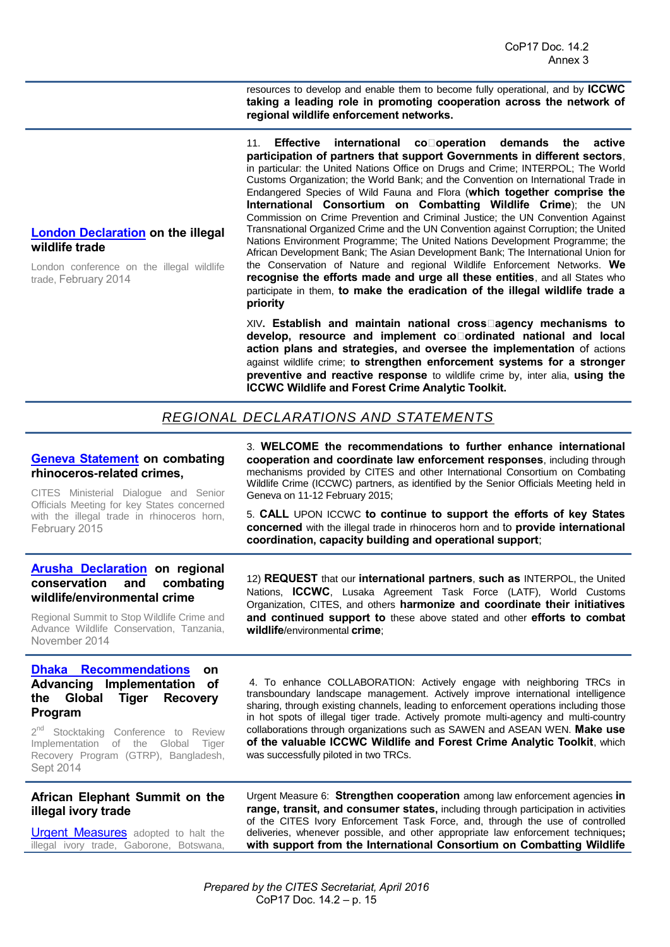resources to develop and enable them to become fully operational, and by **ICCWC taking a leading role in promoting cooperation across the network of regional wildlife enforcement networks.**

11. **Effective international co**□operation demands the active **participation of partners that support Governments in different sectors**, in particular: the United Nations Office on Drugs and Crime; INTERPOL; The World Customs Organization; the World Bank; and the Convention on International Trade in Endangered Species of Wild Fauna and Flora (**which together comprise the International Consortium on Combatting Wildlife Crime**); the UN Commission on Crime Prevention and Criminal Justice; the UN Convention Against Transnational Organized Crime and the UN Convention against Corruption; the United Nations Environment Programme; The United Nations Development Programme; the African Development Bank; The Asian Development Bank; The International Union for the Conservation of Nature and regional Wildlife Enforcement Networks. **We recognise the efforts made and urge all these entities**, and all States who participate in them, **to make the eradication of the illegal wildlife trade a priority**

XIV**. Establish and maintain national cross‐agency mechanisms to**  develop, resource and implement co**□ordinated national and local action plans and strategies, and oversee the implementation** of actions against wildlife crime; **to strengthen enforcement systems for a stronger preventive and reactive response** to wildlife crime by, inter alia, **using the ICCWC Wildlife and Forest Crime Analytic Toolkit.** 

## *REGIONAL DECLARATIONS AND STATEMENTS*

### **[Geneva Statement](https://cites.org/sites/default/files/eng/news/pr/2015/CITES-RhinoDialogue-Statement.pdf) on combating rhinoceros-related crimes,**

CITES Ministerial Dialogue and Senior Officials Meeting for key States concerned with the illegal trade in rhinoceros horn, February 2015

3. **WELCOME the recommendations to further enhance international cooperation and coordinate law enforcement responses**, including through mechanisms provided by CITES and other International Consortium on Combating Wildlife Crime (ICCWC) partners, as identified by the Senior Officials Meeting held in Geneva on 11-12 February 2015;

5. **CALL** UPON ICCWC **to continue to support the efforts of key States concerned** with the illegal trade in rhinoceros horn and to **provide international coordination, capacity building and operational support**;

### **[Arusha Declaration](http://iccfoundation.us/publications/Arusha_Declaration_Regional_Conservation_Combating_Wildlife_Environmental_Crime.pdf) on regional conservation and combating wildlife/environmental crime**

Regional Summit to Stop Wildlife Crime and Advance Wildlife Conservation, Tanzania, November 2014

### **[Dhaka Recommendations](http://globaltigerinitiative.org/site/wp-content/uploads/2014/12/Dhaka-Recommendations.pdf) on Advancing Implementation of the Global Tiger Recovery Program**

2<sup>nd</sup> Stocktaking Conference to Review Implementation of the Global Tiger Recovery Program (GTRP), Bangladesh, Sept 2014

### **African Elephant Summit on the illegal ivory trade**

[Urgent Measures](https://cmsdata.iucn.org/downloads/african_elephant_summit_final_urgent_measures_3_dec_2013_2.pdf) adopted to halt the illegal ivory trade, Gaborone, Botswana,

12) **REQUEST** that our **international partners**, **such as** INTERPOL, the United Nations, **ICCWC**, Lusaka Agreement Task Force (LATF), World Customs Organization, CITES, and others **harmonize and coordinate their initiatives and continued support to** these above stated and other **efforts to combat wildlife**/environmental **crime**;

4. To enhance COLLABORATION: Actively engage with neighboring TRCs in transboundary landscape management. Actively improve international intelligence sharing, through existing channels, leading to enforcement operations including those in hot spots of illegal tiger trade. Actively promote multi-agency and multi-country collaborations through organizations such as SAWEN and ASEAN WEN. **Make use of the valuable ICCWC Wildlife and Forest Crime Analytic Toolkit**, which was successfully piloted in two TRCs.

Urgent Measure 6: **Strengthen cooperation** among law enforcement agencies **in range, transit, and consumer states,** including through participation in activities of the CITES Ivory Enforcement Task Force, and, through the use of controlled deliveries, whenever possible, and other appropriate law enforcement techniques**; with support from the International Consortium on Combatting Wildlife** 

## **[London Declaration](https://www.gov.uk/government/uploads/system/uploads/attachment_data/file/281289/london-wildlife-conference-declaration-140213.pdf) on the illegal wildlife trade**

London conference on the illegal wildlife trade, February 2014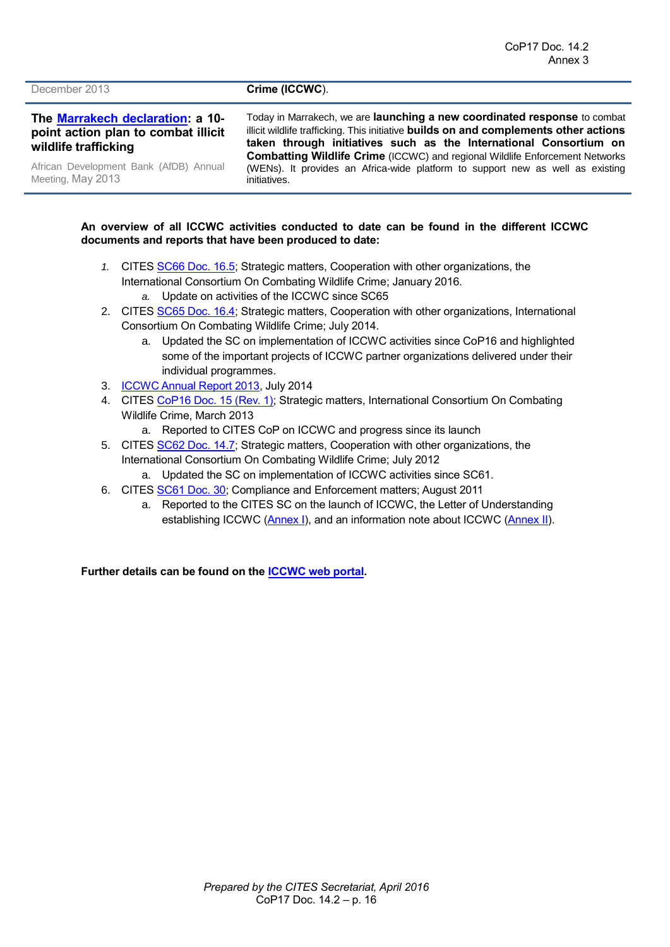#### December 2013 **Crime (ICCWC).**

**The [Marrakech declaration:](http://www.afdb.org/fileadmin/uploads/afdb/Documents/Generic-Documents/The%20Marrakech%20Declaration%20-%20A%2010-Point%20Action%20Plan%20to%20Combat%20Illicit%20Wildlife%20Trafficking.pdf) a 10 point action plan to combat illicit wildlife trafficking**

African Development Bank (AfDB) Annual Meeting, May 2013

Today in Marrakech, we are **launching a new coordinated response** to combat illicit wildlife trafficking. This initiative **builds on and complements other actions taken through initiatives such as the International Consortium on Combatting Wildlife Crime** (ICCWC) and regional Wildlife Enforcement Networks (WENs). It provides an Africa-wide platform to support new as well as existing initiatives.

#### **An overview of all ICCWC activities conducted to date can be found in the different ICCWC documents and reports that have been produced to date:**

- *1.* CITES [SC66 Doc. 16.5;](https://cites.org/sites/default/files/eng/com/sc/66/E-SC66-16-05.pdf) Strategic matters, Cooperation with other organizations, the International Consortium On Combating Wildlife Crime; January 2016. *a.* Update on activities of the ICCWC since SC65
- 2. CITES [SC65 Doc. 16.4;](https://cites.org/sites/default/files/eng/com/sc/65/E-SC65-16-04.pdf) Strategic matters, Cooperation with other organizations, International Consortium On Combating Wildlife Crime; July 2014.
	- a. Updated the SC on implementation of ICCWC activities since CoP16 and highlighted some of the important projects of ICCWC partner organizations delivered under their individual programmes.
- 3. [ICCWC Annual Report 2013,](https://cites.org/sites/default/files/eng/prog/iccwc/ICCWC_Annual_Report_2013-WEB.pdf) July 2014
- 4. CITES [CoP16 Doc. 15 \(Rev. 1\);](https://cites.org/sites/default/files/eng/cop/16/doc/E-CoP16-15.pdf) Strategic matters, International Consortium On Combating Wildlife Crime, March 2013
	- a. Reported to CITES CoP on ICCWC and progress since its launch
- 5. CITES [SC62 Doc. 14.7;](https://cites.org/sites/default/files/eng/com/sc/62/E62-14-07.pdf) Strategic matters, Cooperation with other organizations, the International Consortium On Combating Wildlife Crime; July 2012
	- a. Updated the SC on implementation of ICCWC activities since SC61.
- 6. CITES [SC61 Doc. 30;](https://cites.org/sites/default/files/eng/com/sc/61/E61-30.pdf) Compliance and Enforcement matters; August 2011
	- a. Reported to the CITES SC on the launch of ICCWC, the Letter of Understanding establishing ICCWC [\(Annex I\)](https://cites.org/sites/default/files/common/com/sc/61/E61-30-A1.pdf), and an information note about ICCWC [\(Annex II\)](https://cites.org/sites/default/files/common/com/sc/61/E61-30-A2.pdf).

**Further details can be found on the [ICCWC web](https://cites.org/eng/prog/iccwc.php) portal.**